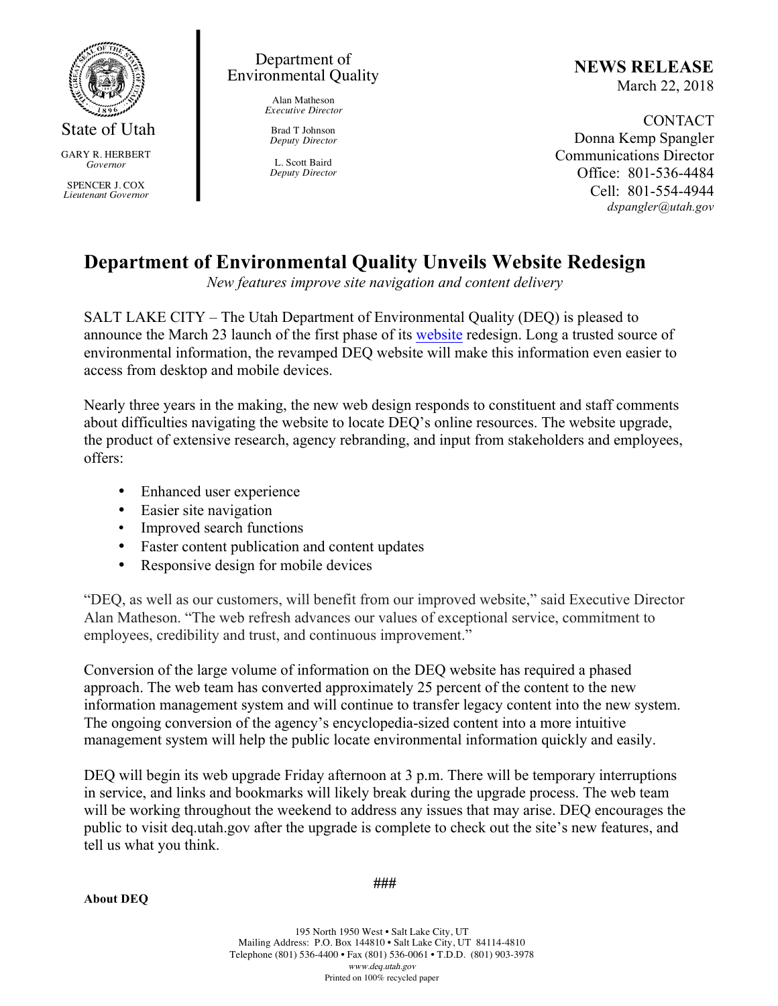

State of Utah

GARY R. HERBERT *Governor*

SPENCER J. COX *Lieutenant Governor*

## Department of Environmental Quality

Alan Matheson *Executive Director*

Brad T Johnson *Deputy Director*

L. Scott Baird *Deputy Director* **NEWS RELEASE** March 22, 2018

CONTACT Donna Kemp Spangler Communications Director Office: 801-536-4484 Cell: 801-554-4944 *dspangler@utah.gov*

## **Department of Environmental Quality Unveils Website Redesign**

*New features improve site navigation and content delivery* 

SALT LAKE CITY – The Utah Department of Environmental Quality (DEQ) is pleased to announce the March 23 launch of the first phase of its website redesign. Long a trusted source of environmental information, the revamped DEQ website will make this information even easier to access from desktop and mobile devices.

Nearly three years in the making, the new web design responds to constituent and staff comments about difficulties navigating the website to locate DEQ's online resources. The website upgrade, the product of extensive research, agency rebranding, and input from stakeholders and employees, offers:

- Enhanced user experience
- Easier site navigation
- Improved search functions
- Faster content publication and content updates
- Responsive design for mobile devices

"DEQ, as well as our customers, will benefit from our improved website," said Executive Director Alan Matheson. "The web refresh advances our values of exceptional service, commitment to employees, credibility and trust, and continuous improvement."

Conversion of the large volume of information on the DEQ website has required a phased approach. The web team has converted approximately 25 percent of the content to the new information management system and will continue to transfer legacy content into the new system. The ongoing conversion of the agency's encyclopedia-sized content into a more intuitive management system will help the public locate environmental information quickly and easily.

DEQ will begin its web upgrade Friday afternoon at 3 p.m. There will be temporary interruptions in service, and links and bookmarks will likely break during the upgrade process. The web team will be working throughout the weekend to address any issues that may arise. DEQ encourages the public to visit deq.utah.gov after the upgrade is complete to check out the site's new features, and tell us what you think.

**About DEQ**

**###**

195 North 1950 West • Salt Lake City, UT Mailing Address: P.O. Box 144810 • Salt Lake City, UT 84114-4810 Telephone (801) 536-4400 • Fax (801) 536-0061 • T.D.D. (801) 903-3978 www.deq.utah.gov Printed on 100% recycled paper